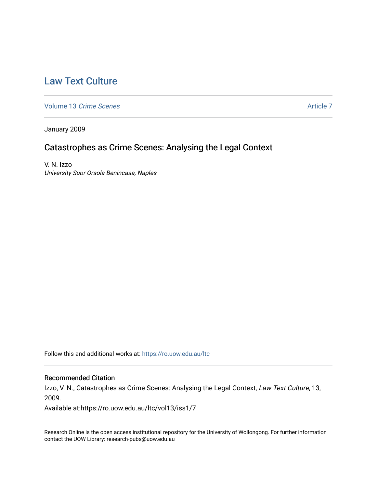# [Law Text Culture](https://ro.uow.edu.au/ltc)

[Volume 13](https://ro.uow.edu.au/ltc/vol13) Crime Scenes [Article 7](https://ro.uow.edu.au/ltc/vol13/iss1/7) and the Volume 13 Crime Scenes Article 7

January 2009

# Catastrophes as Crime Scenes: Analysing the Legal Context

V. N. Izzo University Suor Orsola Benincasa, Naples

Follow this and additional works at: [https://ro.uow.edu.au/ltc](https://ro.uow.edu.au/ltc?utm_source=ro.uow.edu.au%2Fltc%2Fvol13%2Fiss1%2F7&utm_medium=PDF&utm_campaign=PDFCoverPages) 

### Recommended Citation

Izzo, V. N., Catastrophes as Crime Scenes: Analysing the Legal Context, Law Text Culture, 13, 2009.

Available at:https://ro.uow.edu.au/ltc/vol13/iss1/7

Research Online is the open access institutional repository for the University of Wollongong. For further information contact the UOW Library: research-pubs@uow.edu.au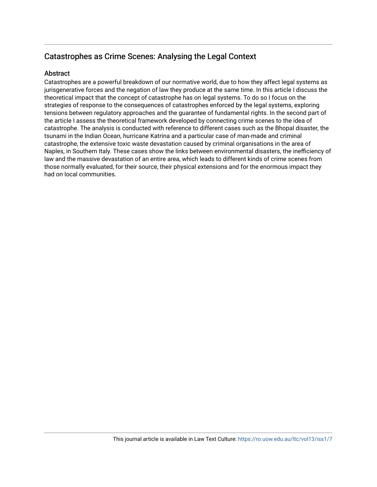# Catastrophes as Crime Scenes: Analysing the Legal Context

# **Abstract**

Catastrophes are a powerful breakdown of our normative world, due to how they affect legal systems as jurisgenerative forces and the negation of law they produce at the same time. In this article I discuss the theoretical impact that the concept of catastrophe has on legal systems. To do so I focus on the strategies of response to the consequences of catastrophes enforced by the legal systems, exploring tensions between regulatory approaches and the guarantee of fundamental rights. In the second part of the article I assess the theoretical framework developed by connecting crime scenes to the idea of catastrophe. The analysis is conducted with reference to different cases such as the Bhopal disaster, the tsunami in the Indian Ocean, hurricane Katrina and a particular case of man-made and criminal catastrophe, the extensive toxic waste devastation caused by criminal organisations in the area of Naples, in Southern Italy. These cases show the links between environmental disasters, the inefficiency of law and the massive devastation of an entire area, which leads to different kinds of crime scenes from those normally evaluated, for their source, their physical extensions and for the enormous impact they had on local communities.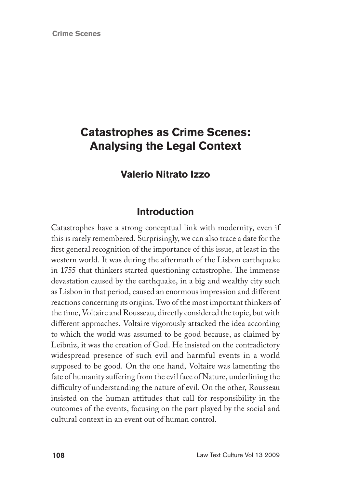**Crime Scenes**

# **Catastrophes as Crime Scenes: Analysing the Legal Context**

# **Valerio Nitrato Izzo**

# **Introduction**

Catastrophes have a strong conceptual link with modernity, even if this is rarely remembered. Surprisingly, we can also trace a date for the first general recognition of the importance of this issue, at least in the western world. It was during the aftermath of the Lisbon earthquake in 1755 that thinkers started questioning catastrophe. The immense devastation caused by the earthquake, in a big and wealthy city such as Lisbon in that period, caused an enormous impression and different reactions concerning its origins. Two of the most important thinkers of the time, Voltaire and Rousseau, directly considered the topic, but with different approaches. Voltaire vigorously attacked the idea according to which the world was assumed to be good because, as claimed by Leibniz, it was the creation of God. He insisted on the contradictory widespread presence of such evil and harmful events in a world supposed to be good. On the one hand, Voltaire was lamenting the fate of humanity suffering from the evil face of Nature, underlining the difficulty of understanding the nature of evil. On the other, Rousseau insisted on the human attitudes that call for responsibility in the outcomes of the events, focusing on the part played by the social and cultural context in an event out of human control.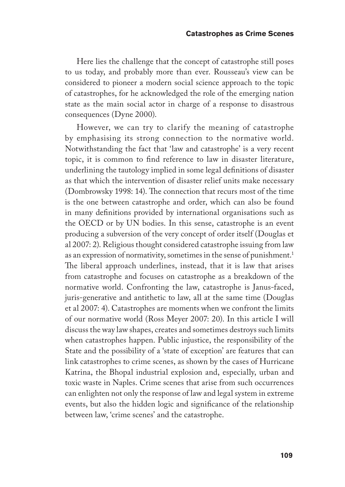Here lies the challenge that the concept of catastrophe still poses to us today, and probably more than ever. Rousseau's view can be considered to pioneer a modern social science approach to the topic of catastrophes, for he acknowledged the role of the emerging nation state as the main social actor in charge of a response to disastrous consequences (Dyne 2000).

However, we can try to clarify the meaning of catastrophe by emphasising its strong connection to the normative world. Notwithstanding the fact that 'law and catastrophe' is a very recent topic, it is common to find reference to law in disaster literature, underlining the tautology implied in some legal definitions of disaster as that which the intervention of disaster relief units make necessary (Dombrowsky 1998: 14). The connection that recurs most of the time is the one between catastrophe and order, which can also be found in many definitions provided by international organisations such as the OECD or by UN bodies. In this sense, catastrophe is an event producing a subversion of the very concept of order itself (Douglas et al 2007: 2). Religious thought considered catastrophe issuing from law as an expression of normativity, sometimes in the sense of punishment.1 The liberal approach underlines, instead, that it is law that arises from catastrophe and focuses on catastrophe as a breakdown of the normative world. Confronting the law, catastrophe is Janus-faced, juris-generative and antithetic to law, all at the same time (Douglas et al 2007: 4). Catastrophes are moments when we confront the limits of our normative world (Ross Meyer 2007: 20). In this article I will discuss the way law shapes, creates and sometimes destroys such limits when catastrophes happen. Public injustice, the responsibility of the State and the possibility of a 'state of exception' are features that can link catastrophes to crime scenes, as shown by the cases of Hurricane Katrina, the Bhopal industrial explosion and, especially, urban and toxic waste in Naples. Crime scenes that arise from such occurrences can enlighten not only the response of law and legal system in extreme events, but also the hidden logic and significance of the relationship between law, 'crime scenes' and the catastrophe.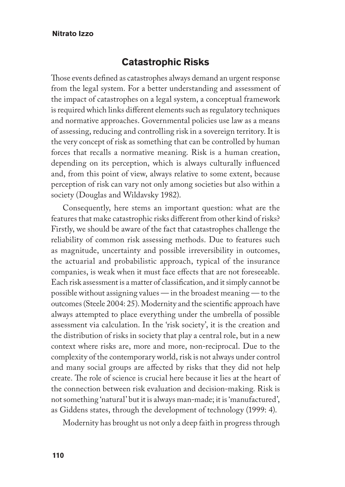## **Catastrophic Risks**

Those events defined as catastrophes always demand an urgent response from the legal system. For a better understanding and assessment of the impact of catastrophes on a legal system, a conceptual framework is required which links different elements such as regulatory techniques and normative approaches. Governmental policies use law as a means of assessing, reducing and controlling risk in a sovereign territory. It is the very concept of risk as something that can be controlled by human forces that recalls a normative meaning. Risk is a human creation, depending on its perception, which is always culturally influenced and, from this point of view, always relative to some extent, because perception of risk can vary not only among societies but also within a society (Douglas and Wildavsky 1982).

Consequently, here stems an important question: what are the features that make catastrophic risks different from other kind of risks? Firstly, we should be aware of the fact that catastrophes challenge the reliability of common risk assessing methods. Due to features such as magnitude, uncertainty and possible irreversibility in outcomes, the actuarial and probabilistic approach, typical of the insurance companies, is weak when it must face effects that are not foreseeable. Each risk assessment is a matter of classification, and it simply cannot be possible without assigning values — in the broadest meaning — to the outcomes (Steele 2004: 25). Modernity and the scientific approach have always attempted to place everything under the umbrella of possible assessment via calculation. In the 'risk society', it is the creation and the distribution of risks in society that play a central role, but in a new context where risks are, more and more, non-reciprocal. Due to the complexity of the contemporary world, risk is not always under control and many social groups are affected by risks that they did not help create. The role of science is crucial here because it lies at the heart of the connection between risk evaluation and decision-making. Risk is not something 'natural' but it is always man-made; it is 'manufactured', as Giddens states, through the development of technology (1999: 4).

Modernity has brought us not only a deep faith in progress through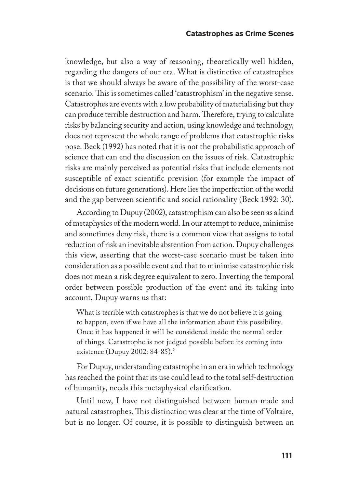knowledge, but also a way of reasoning, theoretically well hidden, regarding the dangers of our era. What is distinctive of catastrophes is that we should always be aware of the possibility of the worst-case scenario. This is sometimes called 'catastrophism' in the negative sense. Catastrophes are events with a low probability of materialising but they can produce terrible destruction and harm. Therefore, trying to calculate risks by balancing security and action, using knowledge and technology, does not represent the whole range of problems that catastrophic risks pose. Beck (1992) has noted that it is not the probabilistic approach of science that can end the discussion on the issues of risk. Catastrophic risks are mainly perceived as potential risks that include elements not susceptible of exact scientific prevision (for example the impact of decisions on future generations). Here lies the imperfection of the world and the gap between scientific and social rationality (Beck 1992: 30).

According to Dupuy (2002), catastrophism can also be seen as a kind of metaphysics of the modern world. In our attempt to reduce, minimise and sometimes deny risk, there is a common view that assigns to total reduction of risk an inevitable abstention from action. Dupuy challenges this view, asserting that the worst-case scenario must be taken into consideration as a possible event and that to minimise catastrophic risk does not mean a risk degree equivalent to zero. Inverting the temporal order between possible production of the event and its taking into account, Dupuy warns us that:

What is terrible with catastrophes is that we do not believe it is going to happen, even if we have all the information about this possibility. Once it has happened it will be considered inside the normal order of things. Catastrophe is not judged possible before its coming into existence (Dupuy 2002: 84-85).<sup>2</sup>

For Dupuy, understanding catastrophe in an era in which technology has reached the point that its use could lead to the total self-destruction of humanity, needs this metaphysical clarification.

Until now, I have not distinguished between human-made and natural catastrophes. This distinction was clear at the time of Voltaire, but is no longer. Of course, it is possible to distinguish between an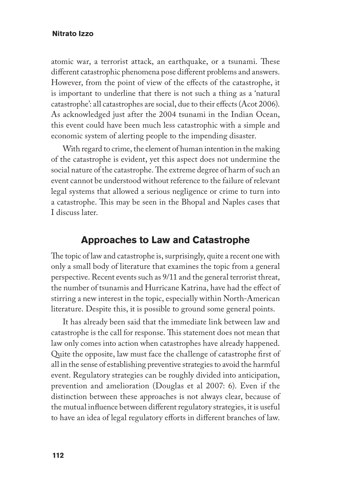atomic war, a terrorist attack, an earthquake, or a tsunami. These different catastrophic phenomena pose different problems and answers. However, from the point of view of the effects of the catastrophe, it is important to underline that there is not such a thing as a 'natural catastrophe': all catastrophes are social, due to their effects (Acot 2006). As acknowledged just after the 2004 tsunami in the Indian Ocean, this event could have been much less catastrophic with a simple and economic system of alerting people to the impending disaster.

With regard to crime, the element of human intention in the making of the catastrophe is evident, yet this aspect does not undermine the social nature of the catastrophe. The extreme degree of harm of such an event cannot be understood without reference to the failure of relevant legal systems that allowed a serious negligence or crime to turn into a catastrophe. This may be seen in the Bhopal and Naples cases that I discuss later.

## **Approaches to Law and Catastrophe**

The topic of law and catastrophe is, surprisingly, quite a recent one with only a small body of literature that examines the topic from a general perspective. Recent events such as 9/11 and the general terrorist threat, the number of tsunamis and Hurricane Katrina, have had the effect of stirring a new interest in the topic, especially within North-American literature. Despite this, it is possible to ground some general points.

It has already been said that the immediate link between law and catastrophe is the call for response. This statement does not mean that law only comes into action when catastrophes have already happened. Quite the opposite, law must face the challenge of catastrophe first of all in the sense of establishing preventive strategies to avoid the harmful event. Regulatory strategies can be roughly divided into anticipation, prevention and amelioration (Douglas et al 2007: 6). Even if the distinction between these approaches is not always clear, because of the mutual influence between different regulatory strategies, it is useful to have an idea of legal regulatory efforts in different branches of law.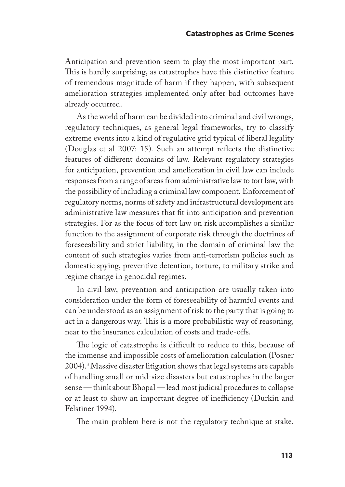Anticipation and prevention seem to play the most important part. This is hardly surprising, as catastrophes have this distinctive feature of tremendous magnitude of harm if they happen, with subsequent amelioration strategies implemented only after bad outcomes have already occurred.

As the world of harm can be divided into criminal and civil wrongs, regulatory techniques, as general legal frameworks, try to classify extreme events into a kind of regulative grid typical of liberal legality (Douglas et al 2007: 15). Such an attempt reflects the distinctive features of different domains of law. Relevant regulatory strategies for anticipation, prevention and amelioration in civil law can include responses from a range of areas from administrative law to tort law, with the possibility of including a criminal law component. Enforcement of regulatory norms, norms of safety and infrastructural development are administrative law measures that fit into anticipation and prevention strategies. For as the focus of tort law on risk accomplishes a similar function to the assignment of corporate risk through the doctrines of foreseeability and strict liability, in the domain of criminal law the content of such strategies varies from anti-terrorism policies such as domestic spying, preventive detention, torture, to military strike and regime change in genocidal regimes.

In civil law, prevention and anticipation are usually taken into consideration under the form of foreseeability of harmful events and can be understood as an assignment of risk to the party that is going to act in a dangerous way. This is a more probabilistic way of reasoning, near to the insurance calculation of costs and trade-offs.

The logic of catastrophe is difficult to reduce to this, because of the immense and impossible costs of amelioration calculation (Posner 2004).3 Massive disaster litigation shows that legal systems are capable of handling small or mid-size disasters but catastrophes in the larger sense — think about Bhopal — lead most judicial procedures to collapse or at least to show an important degree of inefficiency (Durkin and Felstiner 1994).

The main problem here is not the regulatory technique at stake.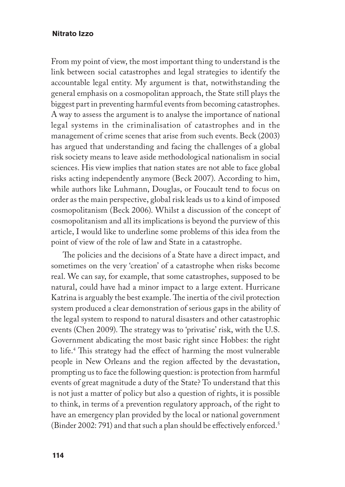From my point of view, the most important thing to understand is the link between social catastrophes and legal strategies to identify the accountable legal entity. My argument is that, notwithstanding the general emphasis on a cosmopolitan approach, the State still plays the biggest part in preventing harmful events from becoming catastrophes. A way to assess the argument is to analyse the importance of national legal systems in the criminalisation of catastrophes and in the management of crime scenes that arise from such events. Beck (2003) has argued that understanding and facing the challenges of a global risk society means to leave aside methodological nationalism in social sciences. His view implies that nation states are not able to face global risks acting independently anymore (Beck 2007). According to him, while authors like Luhmann, Douglas, or Foucault tend to focus on order as the main perspective, global risk leads us to a kind of imposed cosmopolitanism (Beck 2006). Whilst a discussion of the concept of cosmopolitanism and all its implications is beyond the purview of this article, I would like to underline some problems of this idea from the point of view of the role of law and State in a catastrophe.

The policies and the decisions of a State have a direct impact, and sometimes on the very 'creation' of a catastrophe when risks become real. We can say, for example, that some catastrophes, supposed to be natural, could have had a minor impact to a large extent. Hurricane Katrina is arguably the best example. The inertia of the civil protection system produced a clear demonstration of serious gaps in the ability of the legal system to respond to natural disasters and other catastrophic events (Chen 2009). The strategy was to 'privatise' risk, with the U.S. Government abdicating the most basic right since Hobbes: the right to life.4 This strategy had the effect of harming the most vulnerable people in New Orleans and the region affected by the devastation, prompting us to face the following question: is protection from harmful events of great magnitude a duty of the State? To understand that this is not just a matter of policy but also a question of rights, it is possible to think, in terms of a prevention regulatory approach, of the right to have an emergency plan provided by the local or national government (Binder 2002: 791) and that such a plan should be effectively enforced.<sup>5</sup>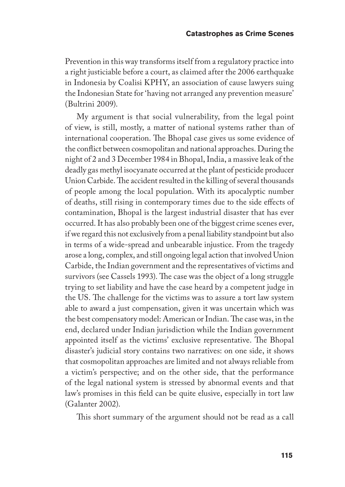Prevention in this way transforms itself from a regulatory practice into a right justiciable before a court, as claimed after the 2006 earthquake in Indonesia by Coalisi KPHY, an association of cause lawyers suing the Indonesian State for 'having not arranged any prevention measure' (Bultrini 2009).

My argument is that social vulnerability, from the legal point of view, is still, mostly, a matter of national systems rather than of international cooperation. The Bhopal case gives us some evidence of the conflict between cosmopolitan and national approaches. During the night of 2 and 3 December 1984 in Bhopal, India, a massive leak of the deadly gas methyl isocyanate occurred at the plant of pesticide producer Union Carbide. The accident resulted in the killing of several thousands of people among the local population. With its apocalyptic number of deaths, still rising in contemporary times due to the side effects of contamination, Bhopal is the largest industrial disaster that has ever occurred. It has also probably been one of the biggest crime scenes ever, if we regard this not exclusively from a penal liability standpoint but also in terms of a wide-spread and unbearable injustice. From the tragedy arose a long, complex, and still ongoing legal action that involved Union Carbide, the Indian government and the representatives of victims and survivors (see Cassels 1993). The case was the object of a long struggle trying to set liability and have the case heard by a competent judge in the US. The challenge for the victims was to assure a tort law system able to award a just compensation, given it was uncertain which was the best compensatory model: American or Indian. The case was, in the end, declared under Indian jurisdiction while the Indian government appointed itself as the victims' exclusive representative. The Bhopal disaster's judicial story contains two narratives: on one side, it shows that cosmopolitan approaches are limited and not always reliable from a victim's perspective; and on the other side, that the performance of the legal national system is stressed by abnormal events and that law's promises in this field can be quite elusive, especially in tort law (Galanter 2002).

This short summary of the argument should not be read as a call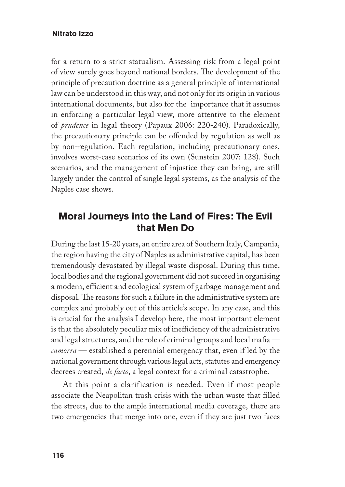for a return to a strict statualism. Assessing risk from a legal point of view surely goes beyond national borders. The development of the principle of precaution doctrine as a general principle of international law can be understood in this way, and not only for its origin in various international documents, but also for the importance that it assumes in enforcing a particular legal view, more attentive to the element of *prudence* in legal theory (Papaux 2006: 220-240). Paradoxically, the precautionary principle can be offended by regulation as well as by non-regulation. Each regulation, including precautionary ones, involves worst-case scenarios of its own (Sunstein 2007: 128). Such scenarios, and the management of injustice they can bring, are still largely under the control of single legal systems, as the analysis of the Naples case shows.

# **Moral Journeys into the Land of Fires: The Evil that Men Do**

During the last 15-20 years, an entire area of Southern Italy, Campania, the region having the city of Naples as administrative capital, has been tremendously devastated by illegal waste disposal. During this time, local bodies and the regional government did not succeed in organising a modern, efficient and ecological system of garbage management and disposal. The reasons for such a failure in the administrative system are complex and probably out of this article's scope. In any case, and this is crucial for the analysis I develop here, the most important element is that the absolutely peculiar mix of inefficiency of the administrative and legal structures, and the role of criminal groups and local mafia *camorra* — established a perennial emergency that, even if led by the national government through various legal acts, statutes and emergency decrees created, *de facto*, a legal context for a criminal catastrophe.

At this point a clarification is needed. Even if most people associate the Neapolitan trash crisis with the urban waste that filled the streets, due to the ample international media coverage, there are two emergencies that merge into one, even if they are just two faces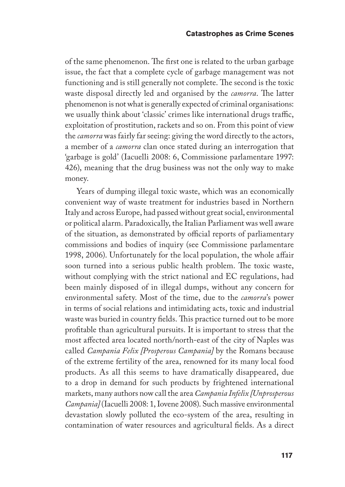of the same phenomenon. The first one is related to the urban garbage issue, the fact that a complete cycle of garbage management was not functioning and is still generally not complete. The second is the toxic waste disposal directly led and organised by the *camorra*. The latter phenomenon is not what is generally expected of criminal organisations: we usually think about 'classic' crimes like international drugs traffic, exploitation of prostitution, rackets and so on. From this point of view the *camorra* was fairly far seeing: giving the word directly to the actors, a member of a *camorra* clan once stated during an interrogation that 'garbage is gold' (Iacuelli 2008: 6, Commissione parlamentare 1997: 426), meaning that the drug business was not the only way to make money.

Years of dumping illegal toxic waste, which was an economically convenient way of waste treatment for industries based in Northern Italy and across Europe, had passed without great social, environmental or political alarm. Paradoxically, the Italian Parliament was well aware of the situation, as demonstrated by official reports of parliamentary commissions and bodies of inquiry (see Commissione parlamentare 1998, 2006). Unfortunately for the local population, the whole affair soon turned into a serious public health problem. The toxic waste, without complying with the strict national and EC regulations, had been mainly disposed of in illegal dumps, without any concern for environmental safety. Most of the time, due to the *camorra*'s power in terms of social relations and intimidating acts, toxic and industrial waste was buried in country fields. This practice turned out to be more profitable than agricultural pursuits. It is important to stress that the most affected area located north/north-east of the city of Naples was called *Campania Felix [Prosperous Campania]* by the Romans because of the extreme fertility of the area, renowned for its many local food products. As all this seems to have dramatically disappeared, due to a drop in demand for such products by frightened international markets, many authors now call the area *Campania Infelix [Unprosperous Campania]* (Iacuelli 2008: 1, Iovene 2008). Such massive environmental devastation slowly polluted the eco-system of the area, resulting in contamination of water resources and agricultural fields. As a direct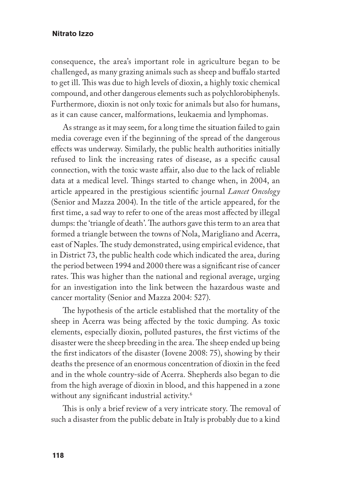consequence, the area's important role in agriculture began to be challenged, as many grazing animals such as sheep and buffalo started to get ill. This was due to high levels of dioxin, a highly toxic chemical compound, and other dangerous elements such as polychlorobiphenyls. Furthermore, dioxin is not only toxic for animals but also for humans, as it can cause cancer, malformations, leukaemia and lymphomas.

As strange as it may seem, for a long time the situation failed to gain media coverage even if the beginning of the spread of the dangerous effects was underway. Similarly, the public health authorities initially refused to link the increasing rates of disease, as a specific causal connection, with the toxic waste affair, also due to the lack of reliable data at a medical level. Things started to change when, in 2004, an article appeared in the prestigious scientific journal *Lancet Oncology* (Senior and Mazza 2004). In the title of the article appeared, for the first time, a sad way to refer to one of the areas most affected by illegal dumps: the 'triangle of death'. The authors gave this term to an area that formed a triangle between the towns of Nola, Marigliano and Acerra, east of Naples. The study demonstrated, using empirical evidence, that in District 73, the public health code which indicated the area, during the period between 1994 and 2000 there was a significant rise of cancer rates. This was higher than the national and regional average, urging for an investigation into the link between the hazardous waste and cancer mortality (Senior and Mazza 2004: 527).

The hypothesis of the article established that the mortality of the sheep in Acerra was being affected by the toxic dumping. As toxic elements, especially dioxin, polluted pastures, the first victims of the disaster were the sheep breeding in the area. The sheep ended up being the first indicators of the disaster (Iovene 2008: 75), showing by their deaths the presence of an enormous concentration of dioxin in the feed and in the whole country-side of Acerra. Shepherds also began to die from the high average of dioxin in blood, and this happened in a zone without any significant industrial activity.<sup>6</sup>

This is only a brief review of a very intricate story. The removal of such a disaster from the public debate in Italy is probably due to a kind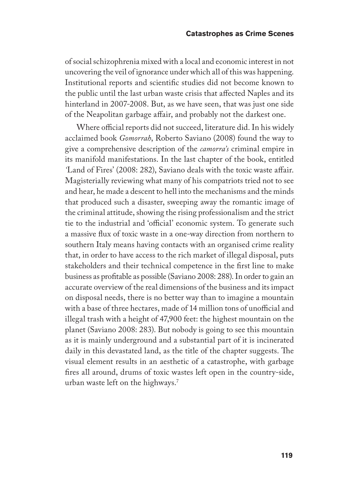of social schizophrenia mixed with a local and economic interest in not uncovering the veil of ignorance under which all of this was happening. Institutional reports and scientific studies did not become known to the public until the last urban waste crisis that affected Naples and its hinterland in 2007-2008. But, as we have seen, that was just one side of the Neapolitan garbage affair, and probably not the darkest one.

Where official reports did not succeed, literature did. In his widely acclaimed book *Gomorrah*, Roberto Saviano (2008) found the way to give a comprehensive description of the *camorra's* criminal empire in its manifold manifestations. In the last chapter of the book, entitled *'*Land of Fires' (2008: 282), Saviano deals with the toxic waste affair. Magisterially reviewing what many of his compatriots tried not to see and hear, he made a descent to hell into the mechanisms and the minds that produced such a disaster, sweeping away the romantic image of the criminal attitude, showing the rising professionalism and the strict tie to the industrial and 'official' economic system. To generate such a massive flux of toxic waste in a one-way direction from northern to southern Italy means having contacts with an organised crime reality that, in order to have access to the rich market of illegal disposal, puts stakeholders and their technical competence in the first line to make business as profitable as possible (Saviano 2008: 288). In order to gain an accurate overview of the real dimensions of the business and its impact on disposal needs, there is no better way than to imagine a mountain with a base of three hectares, made of 14 million tons of unofficial and illegal trash with a height of 47,900 feet: the highest mountain on the planet (Saviano 2008: 283). But nobody is going to see this mountain as it is mainly underground and a substantial part of it is incinerated daily in this devastated land, as the title of the chapter suggests. The visual element results in an aesthetic of a catastrophe, with garbage fires all around, drums of toxic wastes left open in the country-side, urban waste left on the highways.7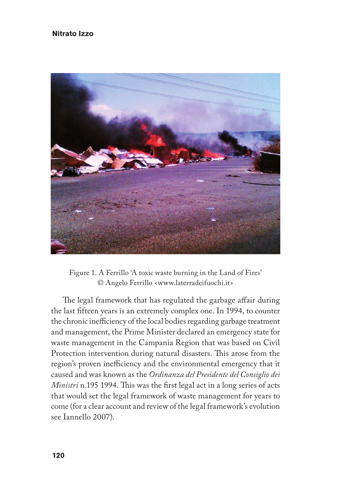

Figure 1. A Ferrillo 'A toxic waste burning in the Land of Fires' © Angelo Ferrillo <www.laterradeifuochi.it>

The legal framework that has regulated the garbage affair during the last fifteen years is an extremely complex one. In 1994, to counter the chronic inefficiency of the local bodies regarding garbage treatment and management, the Prime Minister declared an emergency state for waste management in the Campania Region that was based on Civil Protection intervention during natural disasters. This arose from the region's proven inefficiency and the environmental emergency that it caused and was known as the *Ordinanza del Presidente del Consiglio dei Ministri* n.195 1994. This was the first legal act in a long series of acts that would set the legal framework of waste management for years to come (for a clear account and review of the legal framework's evolution see Iannello 2007).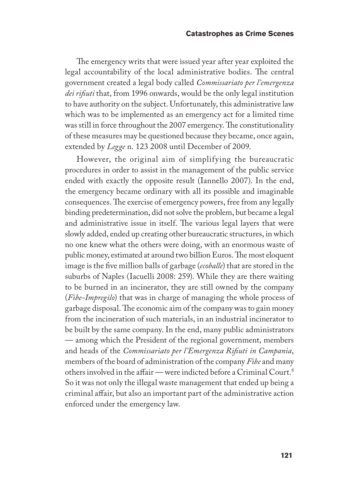The emergency writs that were issued year after year exploited the legal accountability of the local administrative bodies. The central government created a legal body called *Commissariato per l'emergenza dei rifiuti* that, from 1996 onwards, would be the only legal institution to have authority on the subject. Unfortunately, this administrative law which was to be implemented as an emergency act for a limited time was still in force throughout the 2007 emergency. The constitutionality of these measures may be questioned because they became, once again, extended by *Legge* n. 123 2008 until December of 2009.

However, the original aim of simplifying the bureaucratic procedures in order to assist in the management of the public service ended with exactly the opposite result (Iannello 2007). In the end, the emergency became ordinary with all its possible and imaginable consequences. The exercise of emergency powers, free from any legally binding predetermination, did not solve the problem, but became a legal and administrative issue in itself. The various legal layers that were slowly added, ended up creating other bureaucratic structures, in which no one knew what the others were doing, with an enormous waste of public money, estimated at around two billion Euros. The most eloquent image is the five million balls of garbage (*ecoballe*) that are stored in the suburbs of Naples (Iacuelli 2008: 259). While they are there waiting to be burned in an incinerator, they are still owned by the company (*Fibe-Impregilo*) that was in charge of managing the whole process of garbage disposal. The economic aim of the company was to gain money from the incineration of such materials, in an industrial incinerator to be built by the same company. In the end, many public administrators — among which the President of the regional government, members and heads of the *Commissariato per l'Emergenza Rifiuti in Campania*, members of the board of administration of the company *Fibe* and many others involved in the affair — were indicted before a Criminal Court.8 So it was not only the illegal waste management that ended up being a criminal affair, but also an important part of the administrative action enforced under the emergency law.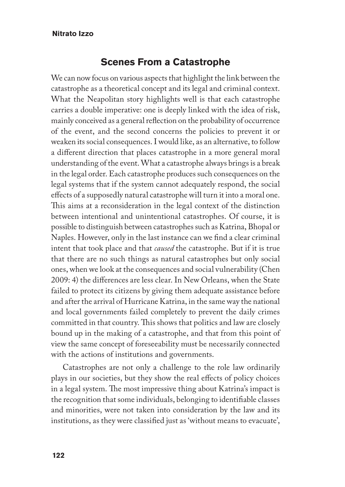## **Scenes From a Catastrophe**

We can now focus on various aspects that highlight the link between the catastrophe as a theoretical concept and its legal and criminal context. What the Neapolitan story highlights well is that each catastrophe carries a double imperative: one is deeply linked with the idea of risk, mainly conceived as a general reflection on the probability of occurrence of the event, and the second concerns the policies to prevent it or weaken its social consequences. I would like, as an alternative, to follow a different direction that places catastrophe in a more general moral understanding of the event. What a catastrophe always brings is a break in the legal order. Each catastrophe produces such consequences on the legal systems that if the system cannot adequately respond, the social effects of a supposedly natural catastrophe will turn it into a moral one. This aims at a reconsideration in the legal context of the distinction between intentional and unintentional catastrophes. Of course, it is possible to distinguish between catastrophes such as Katrina, Bhopal or Naples. However, only in the last instance can we find a clear criminal intent that took place and that *caused* the catastrophe. But if it is true that there are no such things as natural catastrophes but only social ones, when we look at the consequences and social vulnerability (Chen 2009: 4) the differences are less clear. In New Orleans, when the State failed to protect its citizens by giving them adequate assistance before and after the arrival of Hurricane Katrina, in the same way the national and local governments failed completely to prevent the daily crimes committed in that country. This shows that politics and law are closely bound up in the making of a catastrophe, and that from this point of view the same concept of foreseeability must be necessarily connected with the actions of institutions and governments.

Catastrophes are not only a challenge to the role law ordinarily plays in our societies, but they show the real effects of policy choices in a legal system. The most impressive thing about Katrina's impact is the recognition that some individuals, belonging to identifiable classes and minorities, were not taken into consideration by the law and its institutions, as they were classified just as 'without means to evacuate',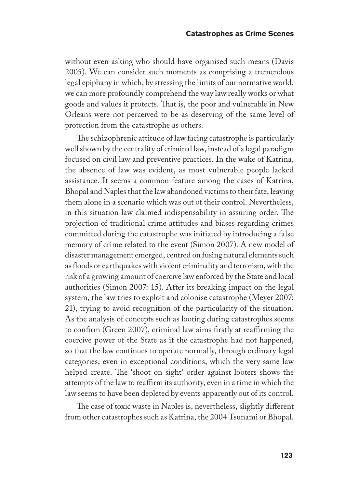without even asking who should have organised such means (Davis 2005). We can consider such moments as comprising a tremendous legal epiphany in which, by stressing the limits of our normative world, we can more profoundly comprehend the way law really works or what goods and values it protects. That is, the poor and vulnerable in New Orleans were not perceived to be as deserving of the same level of protection from the catastrophe as others.

The schizophrenic attitude of law facing catastrophe is particularly well shown by the centrality of criminal law, instead of a legal paradigm focused on civil law and preventive practices. In the wake of Katrina, the absence of law was evident, as most vulnerable people lacked assistance. It seems a common feature among the cases of Katrina, Bhopal and Naples that the law abandoned victims to their fate, leaving them alone in a scenario which was out of their control. Nevertheless, in this situation law claimed indispensability in assuring order. The projection of traditional crime attitudes and biases regarding crimes committed during the catastrophe was initiated by introducing a false memory of crime related to the event (Simon 2007). A new model of disaster management emerged, centred on fusing natural elements such as floods or earthquakes with violent criminality and terrorism, with the risk of a growing amount of coercive law enforced by the State and local authorities (Simon 2007: 15). After its breaking impact on the legal system, the law tries to exploit and colonise catastrophe (Meyer 2007: 21), trying to avoid recognition of the particularity of the situation. As the analysis of concepts such as looting during catastrophes seems to confirm (Green 2007), criminal law aims firstly at reaffirming the coercive power of the State as if the catastrophe had not happened, so that the law continues to operate normally, through ordinary legal categories, even in exceptional conditions, which the very same law helped create. The 'shoot on sight' order against looters shows the attempts of the law to reaffirm its authority, even in a time in which the law seems to have been depleted by events apparently out of its control.

The case of toxic waste in Naples is, nevertheless, slightly different from other catastrophes such as Katrina, the 2004 Tsunami or Bhopal.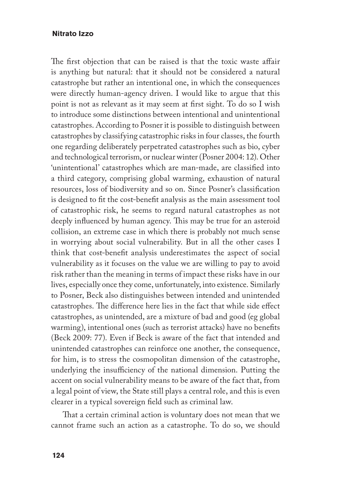The first objection that can be raised is that the toxic waste affair is anything but natural: that it should not be considered a natural catastrophe but rather an intentional one, in which the consequences were directly human-agency driven. I would like to argue that this point is not as relevant as it may seem at first sight. To do so I wish to introduce some distinctions between intentional and unintentional catastrophes. According to Posner it is possible to distinguish between catastrophes by classifying catastrophic risks in four classes, the fourth one regarding deliberately perpetrated catastrophes such as bio, cyber and technological terrorism, or nuclear winter (Posner 2004: 12). Other 'unintentional' catastrophes which are man-made, are classified into a third category, comprising global warming, exhaustion of natural resources, loss of biodiversity and so on. Since Posner's classification is designed to fit the cost-benefit analysis as the main assessment tool of catastrophic risk, he seems to regard natural catastrophes as not deeply influenced by human agency. This may be true for an asteroid collision, an extreme case in which there is probably not much sense in worrying about social vulnerability. But in all the other cases I think that cost-benefit analysis underestimates the aspect of social vulnerability as it focuses on the value we are willing to pay to avoid risk rather than the meaning in terms of impact these risks have in our lives, especially once they come, unfortunately, into existence. Similarly to Posner, Beck also distinguishes between intended and unintended catastrophes. The difference here lies in the fact that while side effect catastrophes, as unintended, are a mixture of bad and good (eg global warming), intentional ones (such as terrorist attacks) have no benefits (Beck 2009: 77). Even if Beck is aware of the fact that intended and unintended catastrophes can reinforce one another, the consequence, for him, is to stress the cosmopolitan dimension of the catastrophe, underlying the insufficiency of the national dimension. Putting the accent on social vulnerability means to be aware of the fact that, from a legal point of view, the State still plays a central role, and this is even clearer in a typical sovereign field such as criminal law.

That a certain criminal action is voluntary does not mean that we cannot frame such an action as a catastrophe. To do so, we should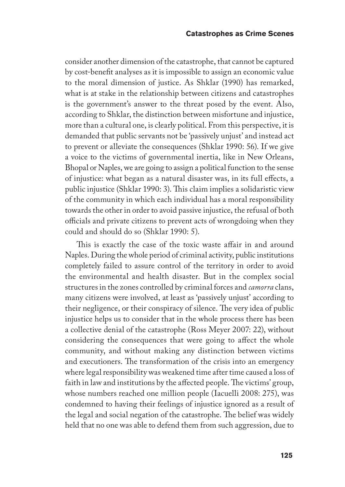consider another dimension of the catastrophe, that cannot be captured by cost-benefit analyses as it is impossible to assign an economic value to the moral dimension of justice. As Shklar (1990) has remarked, what is at stake in the relationship between citizens and catastrophes is the government's answer to the threat posed by the event. Also, according to Shklar, the distinction between misfortune and injustice, more than a cultural one, is clearly political. From this perspective, it is demanded that public servants not be 'passively unjust' and instead act to prevent or alleviate the consequences (Shklar 1990: 56). If we give a voice to the victims of governmental inertia, like in New Orleans, Bhopal or Naples, we are going to assign a political function to the sense of injustice: what began as a natural disaster was, in its full effects, a public injustice (Shklar 1990: 3). This claim implies a solidaristic view of the community in which each individual has a moral responsibility towards the other in order to avoid passive injustice, the refusal of both officials and private citizens to prevent acts of wrongdoing when they could and should do so (Shklar 1990: 5).

This is exactly the case of the toxic waste affair in and around Naples. During the whole period of criminal activity, public institutions completely failed to assure control of the territory in order to avoid the environmental and health disaster. But in the complex social structures in the zones controlled by criminal forces and *camorra* clans, many citizens were involved, at least as 'passively unjust' according to their negligence, or their conspiracy of silence. The very idea of public injustice helps us to consider that in the whole process there has been a collective denial of the catastrophe (Ross Meyer 2007: 22), without considering the consequences that were going to affect the whole community, and without making any distinction between victims and executioners. The transformation of the crisis into an emergency where legal responsibility was weakened time after time caused a loss of faith in law and institutions by the affected people. The victims' group, whose numbers reached one million people (Iacuelli 2008: 275), was condemned to having their feelings of injustice ignored as a result of the legal and social negation of the catastrophe. The belief was widely held that no one was able to defend them from such aggression, due to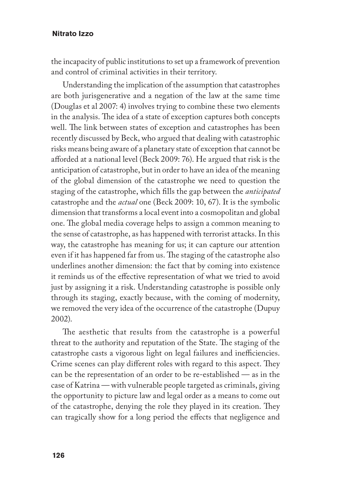the incapacity of public institutions to set up a framework of prevention and control of criminal activities in their territory.

Understanding the implication of the assumption that catastrophes are both jurisgenerative and a negation of the law at the same time (Douglas et al 2007: 4) involves trying to combine these two elements in the analysis. The idea of a state of exception captures both concepts well. The link between states of exception and catastrophes has been recently discussed by Beck, who argued that dealing with catastrophic risks means being aware of a planetary state of exception that cannot be afforded at a national level (Beck 2009: 76). He argued that risk is the anticipation of catastrophe, but in order to have an idea of the meaning of the global dimension of the catastrophe we need to question the staging of the catastrophe, which fills the gap between the *anticipated* catastrophe and the *actual* one (Beck 2009: 10, 67). It is the symbolic dimension that transforms a local event into a cosmopolitan and global one. The global media coverage helps to assign a common meaning to the sense of catastrophe, as has happened with terrorist attacks. In this way, the catastrophe has meaning for us; it can capture our attention even if it has happened far from us. The staging of the catastrophe also underlines another dimension: the fact that by coming into existence it reminds us of the effective representation of what we tried to avoid just by assigning it a risk. Understanding catastrophe is possible only through its staging, exactly because, with the coming of modernity, we removed the very idea of the occurrence of the catastrophe (Dupuy 2002).

The aesthetic that results from the catastrophe is a powerful threat to the authority and reputation of the State. The staging of the catastrophe casts a vigorous light on legal failures and inefficiencies. Crime scenes can play different roles with regard to this aspect. They can be the representation of an order to be re-established — as in the case of Katrina — with vulnerable people targeted as criminals, giving the opportunity to picture law and legal order as a means to come out of the catastrophe, denying the role they played in its creation. They can tragically show for a long period the effects that negligence and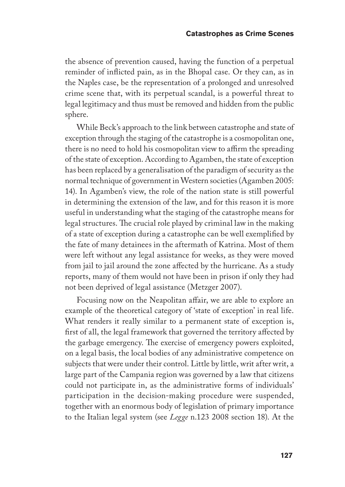the absence of prevention caused, having the function of a perpetual reminder of inflicted pain, as in the Bhopal case. Or they can, as in the Naples case, be the representation of a prolonged and unresolved crime scene that, with its perpetual scandal, is a powerful threat to legal legitimacy and thus must be removed and hidden from the public sphere.

While Beck's approach to the link between catastrophe and state of exception through the staging of the catastrophe is a cosmopolitan one, there is no need to hold his cosmopolitan view to affirm the spreading of the state of exception. According to Agamben, the state of exception has been replaced by a generalisation of the paradigm of security as the normal technique of government in Western societies (Agamben 2005: 14). In Agamben's view, the role of the nation state is still powerful in determining the extension of the law, and for this reason it is more useful in understanding what the staging of the catastrophe means for legal structures. The crucial role played by criminal law in the making of a state of exception during a catastrophe can be well exemplified by the fate of many detainees in the aftermath of Katrina. Most of them were left without any legal assistance for weeks, as they were moved from jail to jail around the zone affected by the hurricane. As a study reports, many of them would not have been in prison if only they had not been deprived of legal assistance (Metzger 2007).

Focusing now on the Neapolitan affair, we are able to explore an example of the theoretical category of 'state of exception' in real life. What renders it really similar to a permanent state of exception is, first of all, the legal framework that governed the territory affected by the garbage emergency. The exercise of emergency powers exploited, on a legal basis, the local bodies of any administrative competence on subjects that were under their control. Little by little, writ after writ, a large part of the Campania region was governed by a law that citizens could not participate in, as the administrative forms of individuals' participation in the decision-making procedure were suspended, together with an enormous body of legislation of primary importance to the Italian legal system (see *Legge* n.123 2008 section 18). At the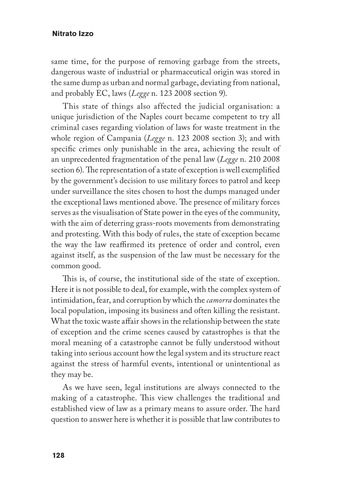same time, for the purpose of removing garbage from the streets, dangerous waste of industrial or pharmaceutical origin was stored in the same dump as urban and normal garbage, deviating from national, and probably EC, laws (*Legge* n. 123 2008 section 9).

This state of things also affected the judicial organisation: a unique jurisdiction of the Naples court became competent to try all criminal cases regarding violation of laws for waste treatment in the whole region of Campania (*Legge* n. 123 2008 section 3); and with specific crimes only punishable in the area, achieving the result of an unprecedented fragmentation of the penal law (*Legge* n. 210 2008 section 6). The representation of a state of exception is well exemplified by the government's decision to use military forces to patrol and keep under surveillance the sites chosen to host the dumps managed under the exceptional laws mentioned above. The presence of military forces serves as the visualisation of State power in the eyes of the community, with the aim of deterring grass-roots movements from demonstrating and protesting. With this body of rules, the state of exception became the way the law reaffirmed its pretence of order and control, even against itself, as the suspension of the law must be necessary for the common good.

This is, of course, the institutional side of the state of exception. Here it is not possible to deal, for example, with the complex system of intimidation, fear, and corruption by which the *camorra* dominates the local population, imposing its business and often killing the resistant. What the toxic waste affair shows in the relationship between the state of exception and the crime scenes caused by catastrophes is that the moral meaning of a catastrophe cannot be fully understood without taking into serious account how the legal system and its structure react against the stress of harmful events, intentional or unintentional as they may be.

As we have seen, legal institutions are always connected to the making of a catastrophe. This view challenges the traditional and established view of law as a primary means to assure order. The hard question to answer here is whether it is possible that law contributes to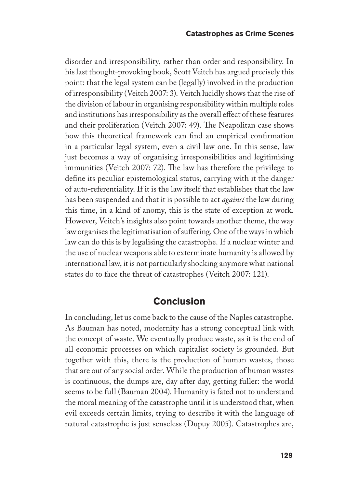disorder and irresponsibility, rather than order and responsibility. In his last thought-provoking book, Scott Veitch has argued precisely this point: that the legal system can be (legally) involved in the production of irresponsibility (Veitch 2007: 3). Veitch lucidly shows that the rise of the division of labour in organising responsibility within multiple roles and institutions has irresponsibility as the overall effect of these features and their proliferation (Veitch 2007: 49). The Neapolitan case shows how this theoretical framework can find an empirical confirmation in a particular legal system, even a civil law one. In this sense, law just becomes a way of organising irresponsibilities and legitimising immunities (Veitch 2007: 72). The law has therefore the privilege to define its peculiar epistemological status, carrying with it the danger of auto-referentiality. If it is the law itself that establishes that the law has been suspended and that it is possible to act *against* the law during this time, in a kind of anomy, this is the state of exception at work. However, Veitch's insights also point towards another theme, the way law organises the legitimatisation of suffering. One of the ways in which law can do this is by legalising the catastrophe. If a nuclear winter and the use of nuclear weapons able to exterminate humanity is allowed by international law, it is not particularly shocking anymore what national states do to face the threat of catastrophes (Veitch 2007: 121).

## **Conclusion**

In concluding, let us come back to the cause of the Naples catastrophe. As Bauman has noted, modernity has a strong conceptual link with the concept of waste. We eventually produce waste, as it is the end of all economic processes on which capitalist society is grounded. But together with this, there is the production of human wastes, those that are out of any social order. While the production of human wastes is continuous, the dumps are, day after day, getting fuller: the world seems to be full (Bauman 2004). Humanity is fated not to understand the moral meaning of the catastrophe until it is understood that, when evil exceeds certain limits, trying to describe it with the language of natural catastrophe is just senseless (Dupuy 2005). Catastrophes are,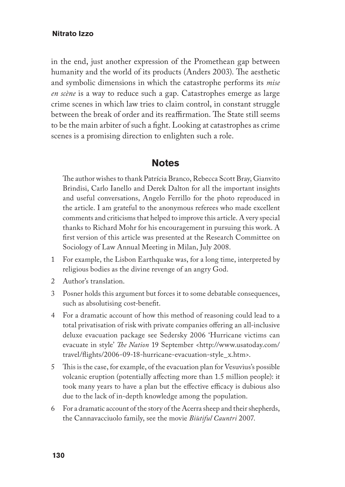in the end, just another expression of the Promethean gap between humanity and the world of its products (Anders 2003). The aesthetic and symbolic dimensions in which the catastrophe performs its *mise en scène* is a way to reduce such a gap. Catastrophes emerge as large crime scenes in which law tries to claim control, in constant struggle between the break of order and its reaffirmation. The State still seems to be the main arbiter of such a fight. Looking at catastrophes as crime scenes is a promising direction to enlighten such a role.

### **Notes**

The author wishes to thank Patrícia Branco, Rebecca Scott Bray, Gianvito Brindisi, Carlo Ianello and Derek Dalton for all the important insights and useful conversations, Angelo Ferrillo for the photo reproduced in the article. I am grateful to the anonymous referees who made excellent comments and criticisms that helped to improve this article. A very special thanks to Richard Mohr for his encouragement in pursuing this work. A first version of this article was presented at the Research Committee on Sociology of Law Annual Meeting in Milan, July 2008.

- 1 For example, the Lisbon Earthquake was, for a long time, interpreted by religious bodies as the divine revenge of an angry God.
- 2 Author's translation.
- 3 Posner holds this argument but forces it to some debatable consequences, such as absolutising cost-benefit.
- 4 For a dramatic account of how this method of reasoning could lead to a total privatisation of risk with private companies offering an all-inclusive deluxe evacuation package see Sedersky 2006 'Hurricane victims can evacuate in style' *The Nation* 19 September <http://www.usatoday.com/ travel/flights/2006-09-18-hurricane-evacuation-style\_x.htm>.
- 5 This is the case, for example, of the evacuation plan for Vesuvius's possible volcanic eruption (potentially affecting more than 1.5 million people): it took many years to have a plan but the effective efficacy is dubious also due to the lack of in-depth knowledge among the population.
- 6 For a dramatic account of the story of the Acerra sheep and their shepherds, the Cannavacciuolo family, see the movie *Biùtiful Cauntri* 2007.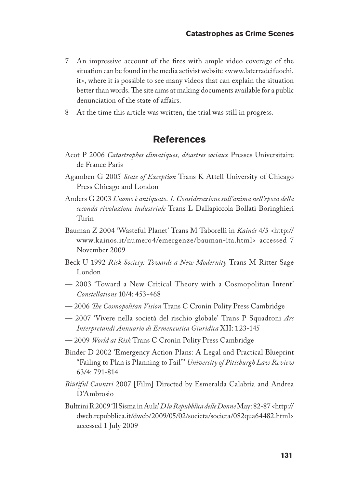- 7 An impressive account of the fires with ample video coverage of the situation can be found in the media activist website <www.laterradeifuochi. it>, where it is possible to see many videos that can explain the situation better than words. The site aims at making documents available for a public denunciation of the state of affairs.
- 8 At the time this article was written, the trial was still in progress.

## **References**

- Acot P 2006 *Catastrophes climatiques, désastres sociaux* Presses Universitaire de France Paris
- Agamben G 2005 *State of Exception* Trans K Attell University of Chicago Press Chicago and London
- Anders G 2003 *L'uomo è antiquato. 1. Considerazione sull'anima nell'epoca della seconda rivoluzione industriale* Trans L Dallapiccola Bollati Boringhieri Turin
- Bauman Z 2004 'Wasteful Planet' Trans M Taborelli in *Kainós* 4/5 <http:// www.kainos.it/numero4/emergenze/bauman-ita.html> accessed 7 November 2009
- Beck U 1992 *Risk Society: Towards a New Modernity* Trans M Ritter Sage London
- 2003 'Toward a New Critical Theory with a Cosmopolitan Intent' *Constellations* 10/4: 453-468
- 2006 *The Cosmopolitan Vision* Trans C Cronin Polity Press Cambridge
- 2007 'Vivere nella società del rischio globale' Trans P Squadroni *Ars Interpretandi Annuario di Ermeneutica Giuridica* XII: 123-145
- 2009 *World at Risk* Trans C Cronin Polity Press Cambridge
- Binder D 2002 'Emergency Action Plans: A Legal and Practical Blueprint "Failing to Plan is Planning to Fail"' *University of Pittsburgh Law Review* 63/4: 791-814
- *Biùtiful Cauntri* 2007 [Film] Directed by Esmeralda Calabria and Andrea D'Ambrosio
- Bultrini R 2009 'Il Sisma in Aula' *D la Repubblica delle Donne* May: 82-87 <http:// dweb.repubblica.it/dweb/2009/05/02/societa/societa/082qua64482.html> accessed 1 July 2009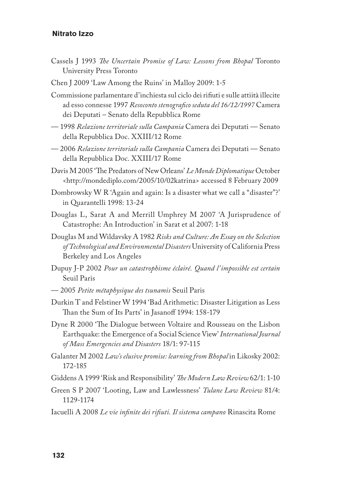- Cassels J 1993 *The Uncertain Promise of Law: Lessons from Bhopal* Toronto University Press Toronto
- Chen J 2009 'Law Among the Ruins' in Malloy 2009: 1-5
- Commissione parlamentare d'inchiesta sul ciclo dei rifiuti e sulle attiità illecite ad esso connesse 1997 *Resoconto stenografico seduta del 16/12/1997* Camera dei Deputati – Senato della Repubblica Rome
- 1998 *Relazione territoriale sulla Campania* Camera dei Deputati Senato della Repubblica Doc. XXIII/12 Rome
- 2006 *Relazione territoriale sulla Campania* Camera dei Deputati Senato della Repubblica Doc. XXIII/17 Rome
- Davis M 2005 'The Predators of New Orleans' *Le Monde Diplomatique* October <http://mondediplo.com/2005/10/02katrina> accessed 8 February 2009
- Dombrowsky W R 'Again and again: Is a disaster what we call a "disaster"?' in Quarantelli 1998: 13-24
- Douglas L, Sarat A and Merrill Umphrey M 2007 'A Jurisprudence of Catastrophe: An Introduction' in Sarat et al 2007: 1-18
- Douglas M and Wildavsky A 1982 *Risks and Culture: An Essay on the Selection of Technological and Environmental Disasters* University of California Press Berkeley and Los Angeles
- Dupuy J-P 2002 *Pour un catastrophisme éclairé. Quand l'impossible est certain* Seuil Paris
- 2005 *Petite métaphysique des tsunamis* Seuil Paris
- Durkin T and Felstiner W 1994 'Bad Arithmetic: Disaster Litigation as Less Than the Sum of Its Parts' in Jasanoff 1994: 158-179
- Dyne R 2000 'The Dialogue between Voltaire and Rousseau on the Lisbon Earthquake: the Emergence of a Social Science View' *International Journal of Mass Emergencies and Disasters* 18/1: 97-115
- Galanter M 2002 *Law's elusive promise: learning from Bhopal* in Likosky 2002: 172-185
- Giddens A 1999 'Risk and Responsibility' *The Modern Law Review* 62/1: 1-10
- Green S P 2007 'Looting, Law and Lawlessness' *Tulane Law Review* 81/4: 1129-1174
- Iacuelli A 2008 *Le vie infinite dei rifiuti. Il sistema campano* Rinascita Rome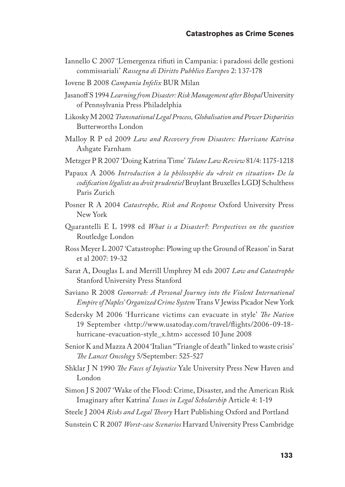- Iannello C 2007 'L'emergenza rifiuti in Campania: i paradossi delle gestioni commissariali' *Rassegna di Diritto Pubblico Europeo* 2: 137-178
- Iovene B 2008 *Campania Infelix* BUR Milan
- Jasanoff S 1994 *Learning from Disaster: Risk Management after Bhopal* University of Pennsylvania Press Philadelphia
- Likosky M 2002 *Transnational Legal Process, Globalisation and Power Disparities*  Butterworths London
- Malloy R P ed 2009 *Law and Recovery from Disasters: Hurricane Katrina* Ashgate Farnham
- Metzger P R 2007 'Doing Katrina Time' *Tulane Law Review* 81/4: 1175-1218
- Papaux A 2006 *Introduction à la philosophie du «droit en situation» De la codification légaliste au droit prudentiel* Bruylant Bruxelles LGDJ Schulthess Paris Zurich
- Posner R A 2004 *Catastrophe, Risk and Response* Oxford University Press New York
- Quarantelli E L 1998 ed *What is a Disaster?: Perspectives on the question* Routledge London
- Ross Meyer L 2007 'Catastrophe: Plowing up the Ground of Reason' in Sarat et al 2007: 19-32
- Sarat A, Douglas L and Merrill Umphrey M eds 2007 *Law and Catastrophe* Stanford University Press Stanford
- Saviano R 2008 *Gomorrah: A Personal Journey into the Violent International Empire of Naples' Organized Crime System* Trans V Jewiss Picador New York
- Sedersky M 2006 'Hurricane victims can evacuate in style' *The Nation* 19 September <http://www.usatoday.com/travel/flights/2006-09-18 hurricane-evacuation-style\_x.htm> accessed 10 June 2008
- Senior K and Mazza A 2004 'Italian "Triangle of death" linked to waste crisis' *The Lancet Oncology* 5/September: 525-527
- Shklar J N 1990 *The Faces of Injustice* Yale University Press New Haven and London
- Simon J S 2007 'Wake of the Flood: Crime, Disaster, and the American Risk Imaginary after Katrina' *Issues in Legal Scholarship* Article 4: 1-19
- Steele J 2004 *Risks and Legal Theory* Hart Publishing Oxford and Portland
- Sunstein C R 2007 *Worst-case Scenarios* Harvard University Press Cambridge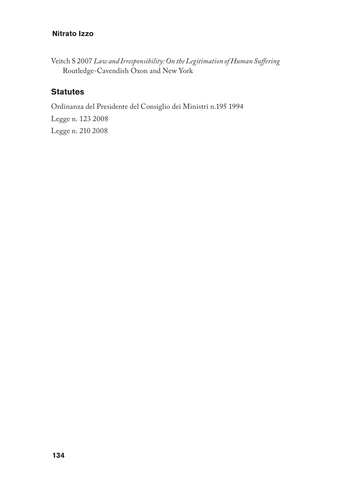Veitch S 2007 *Law and Irresponsibility: On the Legitimation of Human Suffering* Routledge-Cavendish Oxon and New York

## **Statutes**

Ordinanza del Presidente del Consiglio dei Ministri n.195 1994

Legge n. 123 2008 Legge n. 210 2008